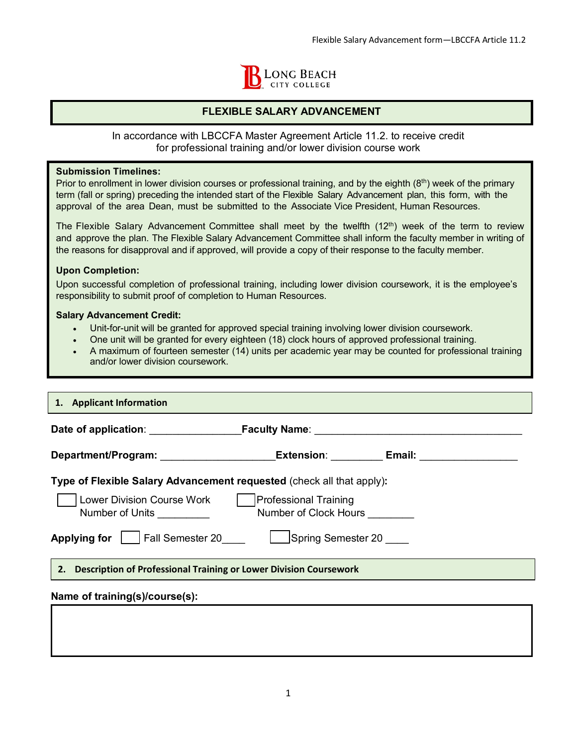

# **FLEXIBLE SALARY ADVANCEMENT**

In accordance with LBCCFA Master Agreement Article 11.2. to receive credit for professional training and/or lower division course work

### **Submission Timelines:**

Prior to enrollment in lower division courses or professional training, and by the eighth  $(8<sup>th</sup>)$  week of the primary term (fall or spring) preceding the intended start of the Flexible Salary Advancement plan, this form, with the approval of the area Dean, must be submitted to the Associate Vice President, Human Resources.

The Flexible Salary Advancement Committee shall meet by the twelfth (12<sup>th</sup>) week of the term to review and approve the plan. The Flexible Salary Advancement Committee shall inform the faculty member in writing of the reasons for disapproval and if approved, will provide a copy of their response to the faculty member.

### **Upon Completion:**

Upon successful completion of professional training, including lower division coursework, it is the employee's responsibility to submit proof of completion to Human Resources.

#### **Salary Advancement Credit:**

- Unit-for-unit will be granted for approved special training involving lower division coursework.
- One unit will be granted for every eighteen (18) clock hours of approved professional training.
- A maximum of fourteen semester (14) units per academic year may be counted for professional training and/or lower division coursework.

| 1. Applicant Information                                                                |                                |  |  |
|-----------------------------------------------------------------------------------------|--------------------------------|--|--|
|                                                                                         |                                |  |  |
| Department/Program: ________________________Extension: ___________Email: ______________ |                                |  |  |
| Type of Flexible Salary Advancement requested (check all that apply):                   |                                |  |  |
| Number of Units <u>success</u>                                                          | Number of Clock Hours ________ |  |  |
| Applying for Fall Semester 20 Spring Semester 20                                        |                                |  |  |
| 2. Description of Professional Training or Lower Division Coursework                    |                                |  |  |
| Name of training(s)/course(s):                                                          |                                |  |  |
|                                                                                         |                                |  |  |
|                                                                                         |                                |  |  |
|                                                                                         |                                |  |  |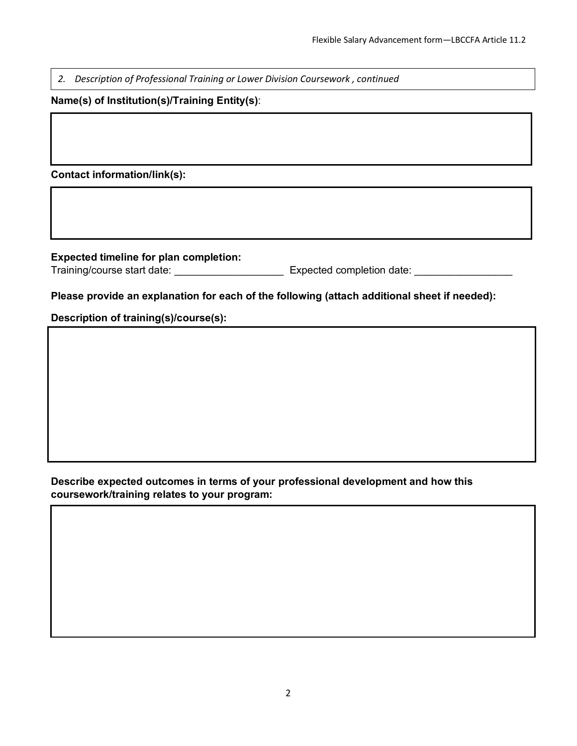*2. Description of Professional Training or Lower Division Coursework , continued*

# **Name(s) of Institution(s)/Training Entity(s)**:

**Contact information/link(s):**

**Expected timeline for plan completion:**

Training/course start date: <br> expected completion date: <br> expected completion date:

# **Please provide an explanation for each of the following (attach additional sheet if needed):**

**Description of training(s)/course(s):** 

# **Describe expected outcomes in terms of your professional development and how this coursework/training relates to your program:**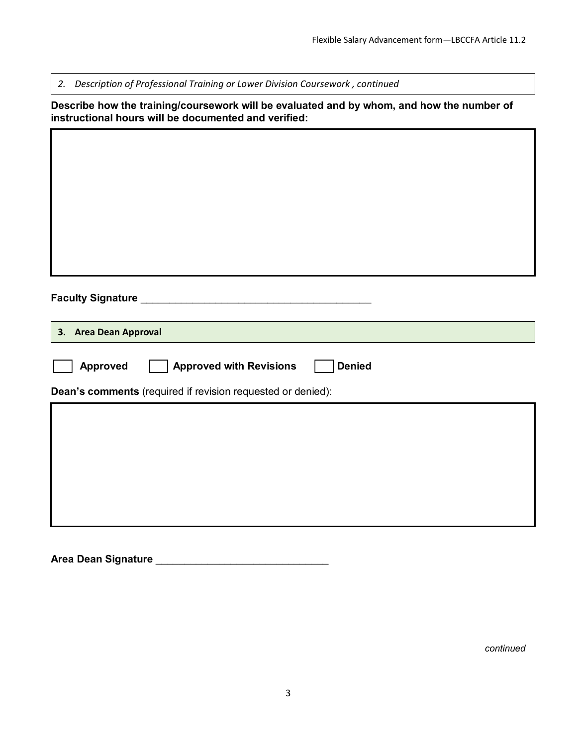٦

*2. Description of Professional Training or Lower Division Coursework , continued*

Г

**Describe how the training/coursework will be evaluated and by whom, and how the number of instructional hours will be documented and verified:** 

| 3. Area Dean Approval                                       |                                                 |  |  |  |
|-------------------------------------------------------------|-------------------------------------------------|--|--|--|
| <b>Approved</b>                                             | <b>Approved with Revisions</b><br><b>Denied</b> |  |  |  |
| Dean's comments (required if revision requested or denied): |                                                 |  |  |  |
|                                                             |                                                 |  |  |  |
|                                                             |                                                 |  |  |  |
|                                                             |                                                 |  |  |  |
|                                                             |                                                 |  |  |  |
|                                                             |                                                 |  |  |  |

**Area Dean Signature** \_\_\_\_\_\_\_\_\_\_\_\_\_\_\_\_\_\_\_\_\_\_\_\_\_\_\_\_\_\_

*continued*